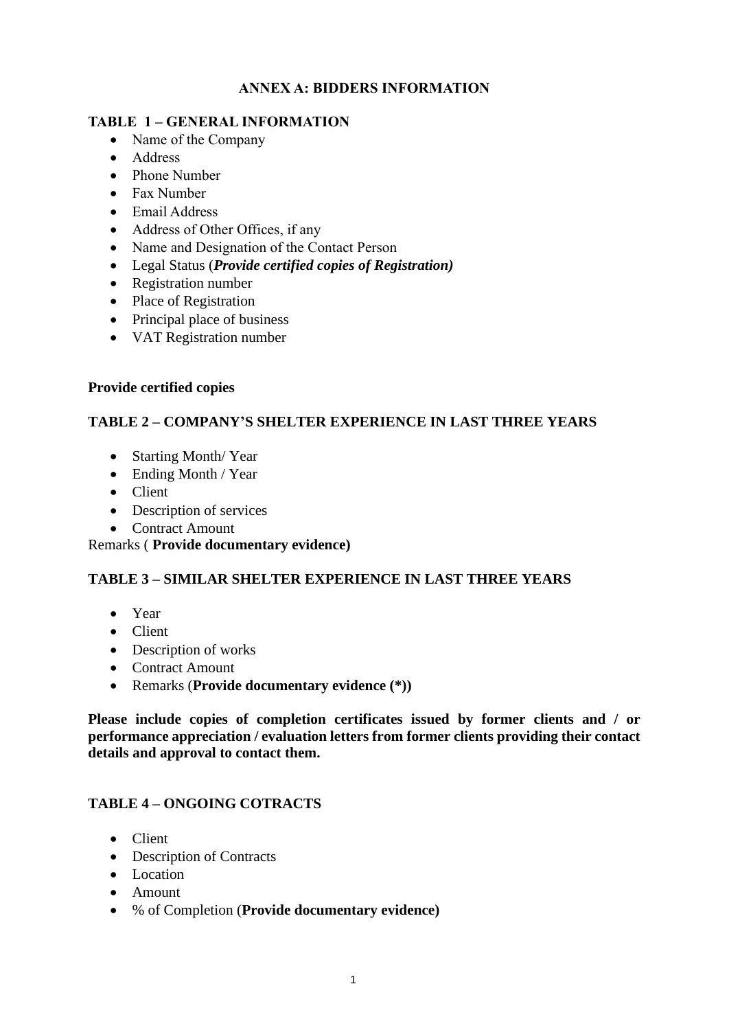## **ANNEX A: BIDDERS INFORMATION**

#### **TABLE 1 – GENERAL INFORMATION**

- Name of the Company
- Address
- Phone Number
- Fax Number
- Email Address
- Address of Other Offices, if any
- Name and Designation of the Contact Person
- Legal Status (*Provide certified copies of Registration)*
- Registration number
- Place of Registration
- Principal place of business
- VAT Registration number

#### **Provide certified copies**

## **TABLE 2 – COMPANY'S SHELTER EXPERIENCE IN LAST THREE YEARS**

- Starting Month/ Year
- Ending Month / Year
- Client
- Description of services
- Contract Amount

Remarks ( **Provide documentary evidence)**

#### **TABLE 3 – SIMILAR SHELTER EXPERIENCE IN LAST THREE YEARS**

- Year
- Client
- Description of works
- Contract Amount
- Remarks (**Provide documentary evidence (\*))**

**Please include copies of completion certificates issued by former clients and / or performance appreciation / evaluation letters from former clients providing their contact details and approval to contact them.**

#### **TABLE 4 – ONGOING COTRACTS**

- Client
- Description of Contracts
- Location
- Amount
- % of Completion (**Provide documentary evidence)**